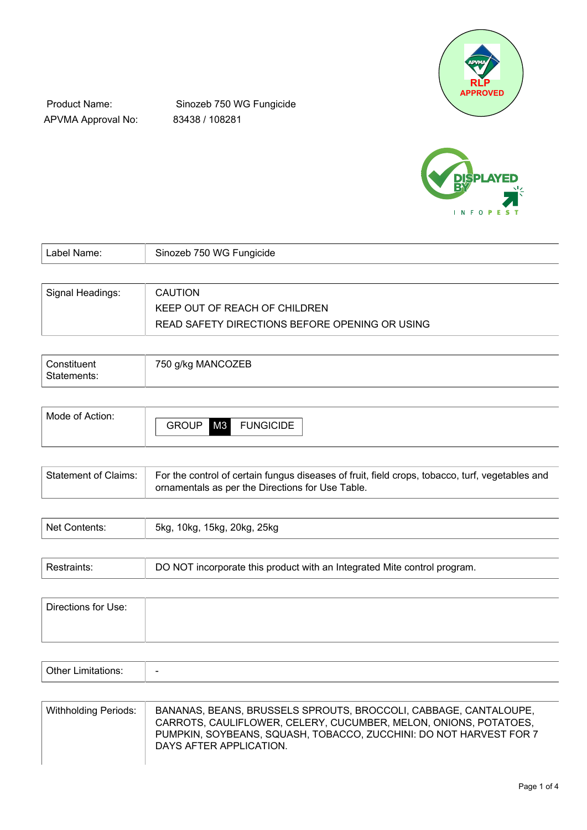

Product Name: APVMA Approval No:

Sinozeb 750 WG Fungicide 83438 / 108281



| Label Name:      | Sinozeb 750 WG Fungicide                       |
|------------------|------------------------------------------------|
|                  |                                                |
| Signal Headings: | <b>CAUTION</b>                                 |
|                  | KEEP OUT OF REACH OF CHILDREN                  |
|                  | READ SAFETY DIRECTIONS BEFORE OPENING OR USING |

| Constituent<br>Statements: | 750 g/kg MANCOZEB |
|----------------------------|-------------------|
|                            |                   |

| Mode of Action: |              |    |                  |
|-----------------|--------------|----|------------------|
|                 | <b>GROUP</b> | M3 | <b>FUNGICIDE</b> |
|                 |              |    |                  |

| For the control of certain fungus diseases of fruit, field crops, tobacco, turf, vegetables and<br>Statement of Claims:<br>ornamentals as per the Directions for Use Table. |  |
|-----------------------------------------------------------------------------------------------------------------------------------------------------------------------------|--|
|-----------------------------------------------------------------------------------------------------------------------------------------------------------------------------|--|

| hlat<br>$-$ means that | 25kg<br>$20$ ka<br>5ko<br>hka.<br>ו וויי |
|------------------------|------------------------------------------|
|                        |                                          |

| Restraints: | DO NOT incorporate this product with an Integrated Mite control program. |
|-------------|--------------------------------------------------------------------------|
|             |                                                                          |

| Directions for Use: |  |  |  |
|---------------------|--|--|--|
|                     |  |  |  |
|                     |  |  |  |

| $\sim$ $\sim$ $\sim$<br>⊶⊔∩⊓r<br>.H<br>- |  |
|------------------------------------------|--|
|------------------------------------------|--|

| Withholding Periods: | BANANAS, BEANS, BRUSSELS SPROUTS, BROCCOLI, CABBAGE, CANTALOUPE,<br>CARROTS, CAULIFLOWER, CELERY, CUCUMBER, MELON, ONIONS, POTATOES,<br>PUMPKIN, SOYBEANS, SQUASH, TOBACCO, ZUCCHINI: DO NOT HARVEST FOR 7<br>DAYS AFTER APPLICATION. |
|----------------------|---------------------------------------------------------------------------------------------------------------------------------------------------------------------------------------------------------------------------------------|
|----------------------|---------------------------------------------------------------------------------------------------------------------------------------------------------------------------------------------------------------------------------------|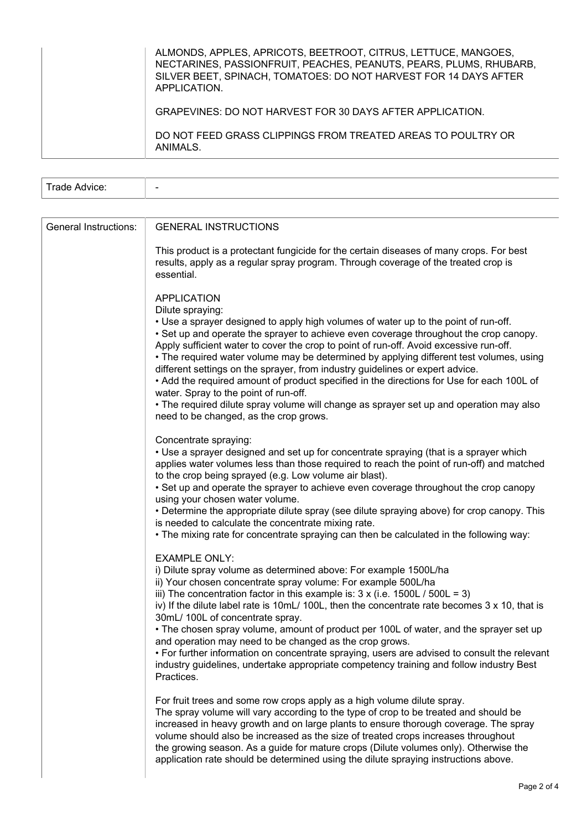| ALMONDS, APPLES, APRICOTS, BEETROOT, CITRUS, LETTUCE, MANGOES,<br>NECTARINES, PASSIONFRUIT, PEACHES, PEANUTS, PEARS, PLUMS, RHUBARB,<br>SILVER BEET, SPINACH, TOMATOES: DO NOT HARVEST FOR 14 DAYS AFTER<br>APPLICATION. |
|--------------------------------------------------------------------------------------------------------------------------------------------------------------------------------------------------------------------------|
| GRAPEVINES: DO NOT HARVEST FOR 30 DAYS AFTER APPLICATION.                                                                                                                                                                |
| DO NOT FEED GRASS CLIPPINGS FROM TREATED AREAS TO POULTRY OR<br>ANIMALS.                                                                                                                                                 |

| $\overline{\phantom{0}}$ |  |  |  |
|--------------------------|--|--|--|
|--------------------------|--|--|--|

| General Instructions: | <b>GENERAL INSTRUCTIONS</b>                                                                                                                                                                                                                                                                                                                                                                                                                                                                                                                                                                                                                                                                                                                                             |
|-----------------------|-------------------------------------------------------------------------------------------------------------------------------------------------------------------------------------------------------------------------------------------------------------------------------------------------------------------------------------------------------------------------------------------------------------------------------------------------------------------------------------------------------------------------------------------------------------------------------------------------------------------------------------------------------------------------------------------------------------------------------------------------------------------------|
|                       | This product is a protectant fungicide for the certain diseases of many crops. For best<br>results, apply as a regular spray program. Through coverage of the treated crop is<br>essential.                                                                                                                                                                                                                                                                                                                                                                                                                                                                                                                                                                             |
|                       | <b>APPLICATION</b><br>Dilute spraying:<br>• Use a sprayer designed to apply high volumes of water up to the point of run-off.<br>• Set up and operate the sprayer to achieve even coverage throughout the crop canopy.<br>Apply sufficient water to cover the crop to point of run-off. Avoid excessive run-off.<br>• The required water volume may be determined by applying different test volumes, using<br>different settings on the sprayer, from industry guidelines or expert advice.<br>• Add the required amount of product specified in the directions for Use for each 100L of<br>water. Spray to the point of run-off.<br>• The required dilute spray volume will change as sprayer set up and operation may also<br>need to be changed, as the crop grows. |
|                       | Concentrate spraying:<br>• Use a sprayer designed and set up for concentrate spraying (that is a sprayer which<br>applies water volumes less than those required to reach the point of run-off) and matched<br>to the crop being sprayed (e.g. Low volume air blast).<br>• Set up and operate the sprayer to achieve even coverage throughout the crop canopy<br>using your chosen water volume.<br>• Determine the appropriate dilute spray (see dilute spraying above) for crop canopy. This<br>is needed to calculate the concentrate mixing rate.<br>• The mixing rate for concentrate spraying can then be calculated in the following way:                                                                                                                        |
|                       | <b>EXAMPLE ONLY:</b><br>i) Dilute spray volume as determined above: For example 1500L/ha<br>ii) Your chosen concentrate spray volume: For example 500L/ha<br>iii) The concentration factor in this example is: $3 \times (i.e. 1500L / 500L = 3)$<br>iv) If the dilute label rate is 10mL/ 100L, then the concentrate rate becomes $3 \times 10$ , that is<br>30mL/ 100L of concentrate spray.<br>• The chosen spray volume, amount of product per 100L of water, and the sprayer set up<br>and operation may need to be changed as the crop grows.<br>• For further information on concentrate spraying, users are advised to consult the relevant<br>industry guidelines, undertake appropriate competency training and follow industry Best<br>Practices.            |
|                       | For fruit trees and some row crops apply as a high volume dilute spray.<br>The spray volume will vary according to the type of crop to be treated and should be<br>increased in heavy growth and on large plants to ensure thorough coverage. The spray<br>volume should also be increased as the size of treated crops increases throughout<br>the growing season. As a guide for mature crops (Dilute volumes only). Otherwise the<br>application rate should be determined using the dilute spraying instructions above.                                                                                                                                                                                                                                             |
|                       | Page 2 of 4                                                                                                                                                                                                                                                                                                                                                                                                                                                                                                                                                                                                                                                                                                                                                             |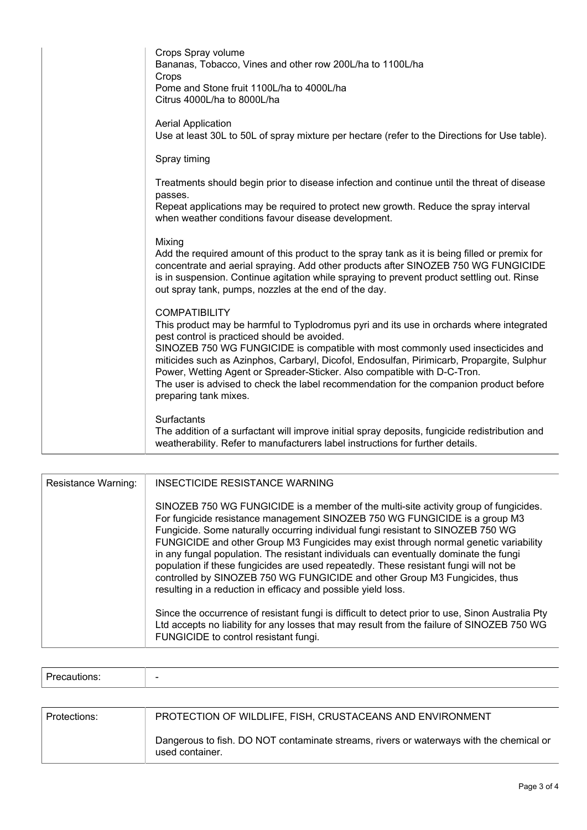| Crops Spray volume<br>Bananas, Tobacco, Vines and other row 200L/ha to 1100L/ha<br>Crops<br>Pome and Stone fruit 1100L/ha to 4000L/ha<br>Citrus 4000L/ha to 8000L/ha                                                                                                                                                                                                                                                                                                                                                                             |
|--------------------------------------------------------------------------------------------------------------------------------------------------------------------------------------------------------------------------------------------------------------------------------------------------------------------------------------------------------------------------------------------------------------------------------------------------------------------------------------------------------------------------------------------------|
| <b>Aerial Application</b><br>Use at least 30L to 50L of spray mixture per hectare (refer to the Directions for Use table).                                                                                                                                                                                                                                                                                                                                                                                                                       |
| Spray timing                                                                                                                                                                                                                                                                                                                                                                                                                                                                                                                                     |
| Treatments should begin prior to disease infection and continue until the threat of disease<br>passes.                                                                                                                                                                                                                                                                                                                                                                                                                                           |
| Repeat applications may be required to protect new growth. Reduce the spray interval<br>when weather conditions favour disease development.                                                                                                                                                                                                                                                                                                                                                                                                      |
| Mixing<br>Add the required amount of this product to the spray tank as it is being filled or premix for<br>concentrate and aerial spraying. Add other products after SINOZEB 750 WG FUNGICIDE<br>is in suspension. Continue agitation while spraying to prevent product settling out. Rinse<br>out spray tank, pumps, nozzles at the end of the day.                                                                                                                                                                                             |
| <b>COMPATIBILITY</b><br>This product may be harmful to Typlodromus pyri and its use in orchards where integrated<br>pest control is practiced should be avoided.<br>SINOZEB 750 WG FUNGICIDE is compatible with most commonly used insecticides and<br>miticides such as Azinphos, Carbaryl, Dicofol, Endosulfan, Pirimicarb, Propargite, Sulphur<br>Power, Wetting Agent or Spreader-Sticker. Also compatible with D-C-Tron.<br>The user is advised to check the label recommendation for the companion product before<br>preparing tank mixes. |
| Surfactants<br>The addition of a surfactant will improve initial spray deposits, fungicide redistribution and<br>weatherability. Refer to manufacturers label instructions for further details.                                                                                                                                                                                                                                                                                                                                                  |

| Resistance Warning: | INSECTICIDE RESISTANCE WARNING                                                                                                                                                                                                                                                                                                                                                                                                                                                                                                                                                                                                                                                  |
|---------------------|---------------------------------------------------------------------------------------------------------------------------------------------------------------------------------------------------------------------------------------------------------------------------------------------------------------------------------------------------------------------------------------------------------------------------------------------------------------------------------------------------------------------------------------------------------------------------------------------------------------------------------------------------------------------------------|
|                     | SINOZEB 750 WG FUNGICIDE is a member of the multi-site activity group of fungicides.<br>For fungicide resistance management SINOZEB 750 WG FUNGICIDE is a group M3<br>Fungicide. Some naturally occurring individual fungi resistant to SINOZEB 750 WG<br>FUNGICIDE and other Group M3 Fungicides may exist through normal genetic variability<br>in any fungal population. The resistant individuals can eventually dominate the fungi<br>population if these fungicides are used repeatedly. These resistant fungi will not be<br>controlled by SINOZEB 750 WG FUNGICIDE and other Group M3 Fungicides, thus<br>resulting in a reduction in efficacy and possible yield loss. |
|                     | Since the occurrence of resistant fungi is difficult to detect prior to use, Sinon Australia Pty<br>Ltd accepts no liability for any losses that may result from the failure of SINOZEB 750 WG<br>FUNGICIDE to control resistant fungi.                                                                                                                                                                                                                                                                                                                                                                                                                                         |

| $\overline{\phantom{0}}$ |
|--------------------------|
|                          |

| Protections: | PROTECTION OF WILDLIFE, FISH, CRUSTACEANS AND ENVIRONMENT                                                  |
|--------------|------------------------------------------------------------------------------------------------------------|
|              | Dangerous to fish. DO NOT contaminate streams, rivers or waterways with the chemical or<br>used container. |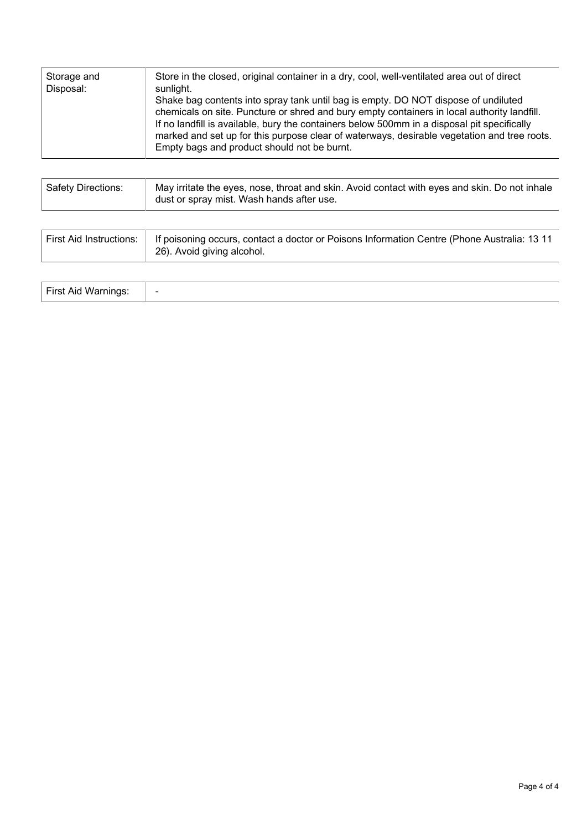| <b>Safety Directions:</b> | May irritate the eyes, nose, throat and skin. Avoid contact with eyes and skin. Do not inhale<br>dust or spray mist. Wash hands after use. |
|---------------------------|--------------------------------------------------------------------------------------------------------------------------------------------|
|---------------------------|--------------------------------------------------------------------------------------------------------------------------------------------|

| <b>First Aid Instructions:</b> | If poisoning occurs, contact a doctor or Poisons Information Centre (Phone Australia: 13 11<br>26). Avoid giving alcohol. |
|--------------------------------|---------------------------------------------------------------------------------------------------------------------------|
|--------------------------------|---------------------------------------------------------------------------------------------------------------------------|

| First Aid Warnir<br>$\overline{\phantom{0}}$ |  |
|----------------------------------------------|--|
|----------------------------------------------|--|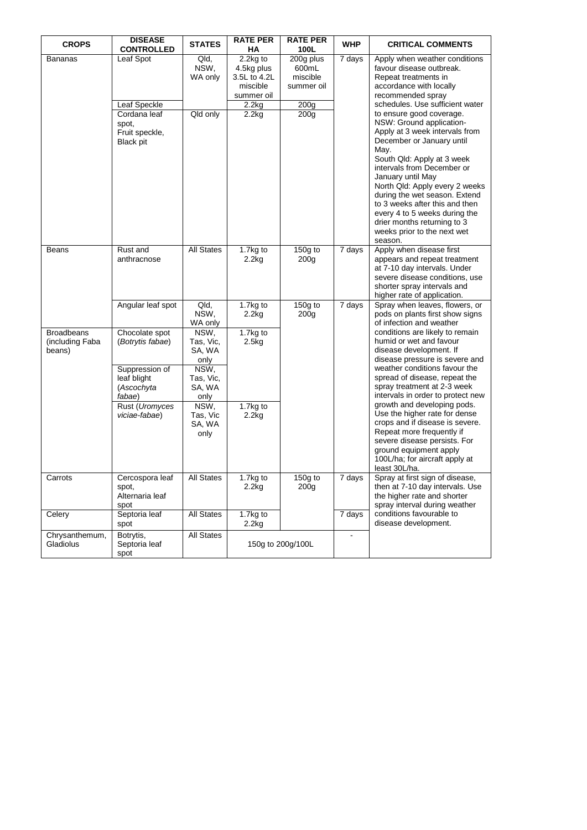| <b>CROPS</b>                                   | <b>DISEASE</b><br><b>CONTROLLED</b>                                                         | <b>STATES</b>                                                              | <b>RATE PER</b><br>НA                                            | <b>RATE PER</b><br>100L                      | <b>WHP</b>          | <b>CRITICAL COMMENTS</b>                                                                                                                                                                                                                                                                                                                                                                                                    |
|------------------------------------------------|---------------------------------------------------------------------------------------------|----------------------------------------------------------------------------|------------------------------------------------------------------|----------------------------------------------|---------------------|-----------------------------------------------------------------------------------------------------------------------------------------------------------------------------------------------------------------------------------------------------------------------------------------------------------------------------------------------------------------------------------------------------------------------------|
| Bananas                                        | Leaf Spot                                                                                   | Qld,<br>NSW,<br>WA only                                                    | 2.2kg to<br>4.5kg plus<br>3.5L to 4.2L<br>miscible<br>summer oil | 200g plus<br>600mL<br>miscible<br>summer oil | 7 days              | Apply when weather conditions<br>favour disease outbreak.<br>Repeat treatments in<br>accordance with locally<br>recommended spray<br>schedules. Use sufficient water                                                                                                                                                                                                                                                        |
|                                                | Leaf Speckle<br>Cordana leaf<br>spot,<br>Fruit speckle,<br><b>Black pit</b>                 | Qld only                                                                   | 2.2kg<br>2.2kg                                                   | 200g<br>200 <sub>g</sub>                     |                     | to ensure good coverage.<br>NSW: Ground application-<br>Apply at 3 week intervals from<br>December or January until<br>May.<br>South Qld: Apply at 3 week<br>intervals from December or<br>January until May<br>North Qld: Apply every 2 weeks<br>during the wet season. Extend<br>to 3 weeks after this and then<br>every 4 to 5 weeks during the<br>drier months returning to 3<br>weeks prior to the next wet<br>season. |
| Beans                                          | Rust and<br>anthracnose                                                                     | <b>All States</b>                                                          | 1.7kg to<br>2.2kg                                                | $150g$ to<br>200 <sub>g</sub>                | 7 days              | Apply when disease first<br>appears and repeat treatment<br>at 7-10 day intervals. Under<br>severe disease conditions, use<br>shorter spray intervals and<br>higher rate of application.                                                                                                                                                                                                                                    |
|                                                | Angular leaf spot                                                                           | Qld,<br>NSW,<br>WA only                                                    | 1.7kg to<br>2.2kg                                                | $150g$ to<br>200 <sub>g</sub>                | 7 days              | Spray when leaves, flowers, or<br>pods on plants first show signs<br>of infection and weather                                                                                                                                                                                                                                                                                                                               |
| <b>Broadbeans</b><br>(including Faba<br>beans) | Chocolate spot<br>(Botrytis fabae)<br>Suppression of<br>leaf blight<br>(Ascochyta<br>fabae) | NSW,<br>Tas, Vic,<br>SA, WA<br>only<br>NSW,<br>Tas, Vic,<br>SA, WA<br>only | $\overline{1.7}$ kg to<br>2.5kg                                  |                                              |                     | conditions are likely to remain<br>humid or wet and favour<br>disease development. If<br>disease pressure is severe and<br>weather conditions favour the<br>spread of disease, repeat the<br>spray treatment at 2-3 week<br>intervals in order to protect new                                                                                                                                                               |
|                                                | Rust (Uromyces<br>viciae-fabae)                                                             | NSW,<br>Tas, Vic<br>SA, WA<br>only                                         | 1.7kg to<br>2.2kg                                                |                                              |                     | growth and developing pods.<br>Use the higher rate for dense<br>crops and if disease is severe.<br>Repeat more frequently if<br>severe disease persists. For<br>ground equipment apply<br>100L/ha; for aircraft apply at<br>least 30L/ha.                                                                                                                                                                                   |
| Carrots                                        | Cercospora leaf<br>spot,<br>Alternaria leaf<br>spot                                         | <b>All States</b>                                                          | $\overline{1.7}$ kg to<br>2.2kg                                  | $\overline{150}$ g to<br>200g                | $\overline{7}$ days | Spray at first sign of disease<br>then at 7-10 day intervals. Use<br>the higher rate and shorter<br>spray interval during weather                                                                                                                                                                                                                                                                                           |
| Celery                                         | Septoria leaf<br>spot                                                                       | <b>All States</b>                                                          | 1.7kg to<br>$2.2$ kg                                             |                                              | 7 days              | conditions favourable to<br>disease development.                                                                                                                                                                                                                                                                                                                                                                            |
| Chrysanthemum,<br>Gladiolus                    | Botrytis,<br>Septoria leaf<br>spot                                                          | All States                                                                 |                                                                  | 150g to 200g/100L                            | $\sim$              |                                                                                                                                                                                                                                                                                                                                                                                                                             |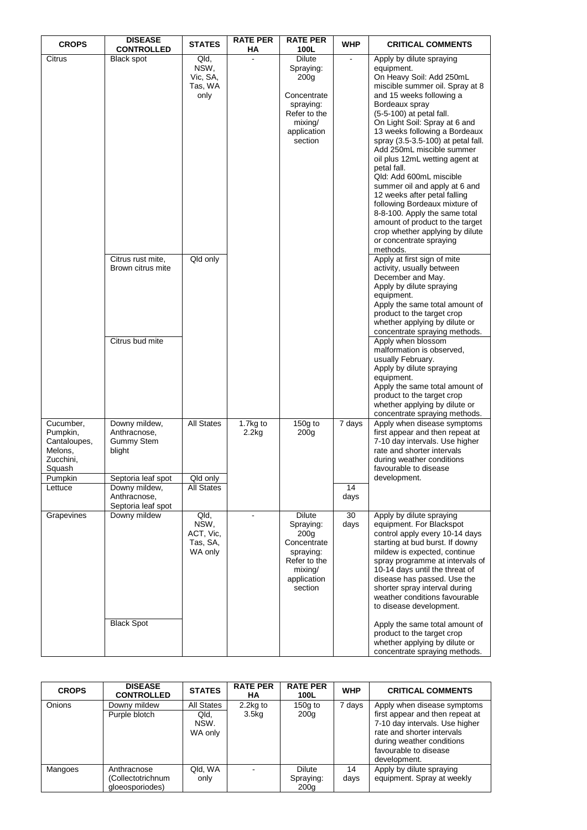| <b>CROPS</b>                                                                       | <b>DISEASE</b><br><b>CONTROLLED</b>                                                | <b>STATES</b>                                    | <b>RATE PER</b><br>ΗA | <b>RATE PER</b><br>100L                                                                                                         | <b>WHP</b> | <b>CRITICAL COMMENTS</b>                                                                                                                                                                                                                                                                                                                                                                                                                                                                                                                                                                                                                         |
|------------------------------------------------------------------------------------|------------------------------------------------------------------------------------|--------------------------------------------------|-----------------------|---------------------------------------------------------------------------------------------------------------------------------|------------|--------------------------------------------------------------------------------------------------------------------------------------------------------------------------------------------------------------------------------------------------------------------------------------------------------------------------------------------------------------------------------------------------------------------------------------------------------------------------------------------------------------------------------------------------------------------------------------------------------------------------------------------------|
| Citrus                                                                             | <b>Black spot</b>                                                                  | Qld,<br>NSW,<br>Vic, SA,<br>Tas, WA<br>only      |                       | <b>Dilute</b><br>Spraying:<br>200 <sub>g</sub><br>Concentrate<br>spraying:<br>Refer to the<br>mixing/<br>application<br>section |            | Apply by dilute spraying<br>equipment.<br>On Heavy Soil: Add 250mL<br>miscible summer oil. Spray at 8<br>and 15 weeks following a<br>Bordeaux spray<br>(5-5-100) at petal fall.<br>On Light Soil: Spray at 6 and<br>13 weeks following a Bordeaux<br>spray (3.5-3.5-100) at petal fall.<br>Add 250mL miscible summer<br>oil plus 12mL wetting agent at<br>petal fall.<br>Qld: Add 600mL miscible<br>summer oil and apply at 6 and<br>12 weeks after petal falling<br>following Bordeaux mixture of<br>8-8-100. Apply the same total<br>amount of product to the target<br>crop whether applying by dilute<br>or concentrate spraying<br>methods. |
|                                                                                    | Citrus rust mite,<br>Brown citrus mite                                             | Qld only                                         |                       |                                                                                                                                 |            | Apply at first sign of mite<br>activity, usually between<br>December and May.<br>Apply by dilute spraying<br>equipment.<br>Apply the same total amount of<br>product to the target crop<br>whether applying by dilute or<br>concentrate spraying methods.                                                                                                                                                                                                                                                                                                                                                                                        |
|                                                                                    | Citrus bud mite                                                                    |                                                  |                       |                                                                                                                                 |            | Apply when blossom<br>malformation is observed,<br>usually February.<br>Apply by dilute spraying<br>equipment.<br>Apply the same total amount of<br>product to the target crop<br>whether applying by dilute or<br>concentrate spraying methods.                                                                                                                                                                                                                                                                                                                                                                                                 |
| Cucumber,<br>Pumpkin,<br>Cantaloupes,<br>Melons.<br>Zucchini,<br>Squash<br>Pumpkin | Downy mildew,<br>Anthracnose,<br><b>Gummy Stem</b><br>blight<br>Septoria leaf spot | <b>All States</b><br>Qld only                    | 1.7kg to<br>2.2kg     | 150g to<br>200 <sub>g</sub>                                                                                                     | 7 days     | Apply when disease symptoms<br>first appear and then repeat at<br>7-10 day intervals. Use higher<br>rate and shorter intervals<br>during weather conditions<br>favourable to disease<br>development.                                                                                                                                                                                                                                                                                                                                                                                                                                             |
| Lettuce                                                                            | Downy mildew,<br>Anthracnose,<br>Septoria leaf spot                                | <b>All States</b>                                |                       |                                                                                                                                 | 14<br>days |                                                                                                                                                                                                                                                                                                                                                                                                                                                                                                                                                                                                                                                  |
| Grapevines                                                                         | Downy mildew<br><b>Black Spot</b>                                                  | Qld,<br>NSW,<br>ACT, Vic,<br>Tas, SA,<br>WA only | ä,                    | Dilute<br>Spraying:<br>200 <sub>g</sub><br>Concentrate<br>spraying:<br>Refer to the<br>mixing/<br>application<br>section        | 30<br>days | Apply by dilute spraying<br>equipment. For Blackspot<br>control apply every 10-14 days<br>starting at bud burst. If downy<br>mildew is expected, continue<br>spray programme at intervals of<br>10-14 days until the threat of<br>disease has passed. Use the<br>shorter spray interval during<br>weather conditions favourable<br>to disease development.<br>Apply the same total amount of<br>product to the target crop<br>whether applying by dilute or<br>concentrate spraying methods.                                                                                                                                                     |

| <b>CROPS</b> | <b>DISEASE</b><br><b>CONTROLLED</b>                 | <b>STATES</b>                         | <b>RATE PER</b><br>НA            | <b>RATE PER</b><br>100L            | <b>WHP</b> | <b>CRITICAL COMMENTS</b>                                                                                                                                                                             |
|--------------|-----------------------------------------------------|---------------------------------------|----------------------------------|------------------------------------|------------|------------------------------------------------------------------------------------------------------------------------------------------------------------------------------------------------------|
| Onions       | Downy mildew<br>Purple blotch                       | All States<br>Qld,<br>NSW.<br>WA only | $2.2$ kg to<br>3.5 <sub>kg</sub> | $150g$ to<br>200 <sub>g</sub>      | 7 days     | Apply when disease symptoms<br>first appear and then repeat at<br>7-10 day intervals. Use higher<br>rate and shorter intervals<br>during weather conditions<br>favourable to disease<br>development. |
| Mangoes      | Anthracnose<br>(Collectotrichnum<br>gloeosporiodes) | Qld, WA<br>only                       |                                  | <b>Dilute</b><br>Spraying:<br>200a | 14<br>days | Apply by dilute spraying<br>equipment. Spray at weekly                                                                                                                                               |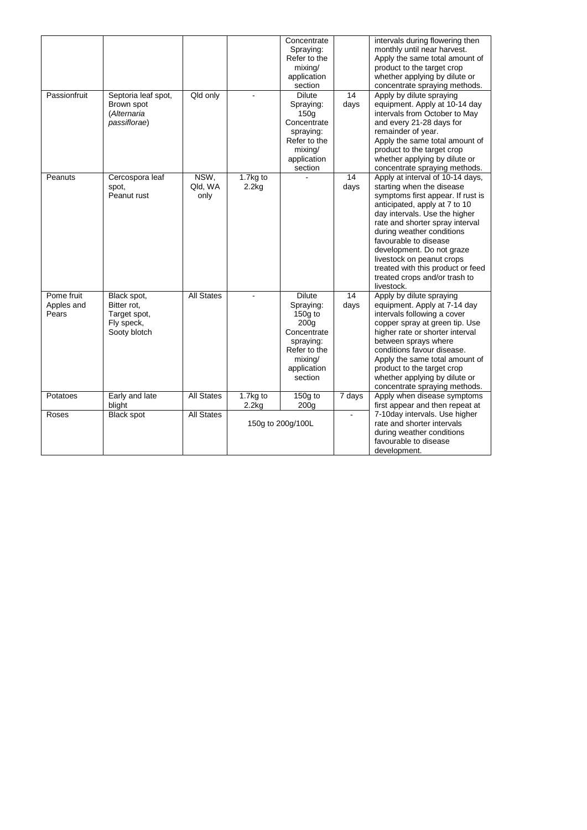| Passionfruit                      | Septoria leaf spot,<br>Brown spot<br>(Alternaria<br>passiflorae)         | Qld only                | $\overline{a}$    | Concentrate<br>Spraying:<br>Refer to the<br>mixing/<br>application<br>section<br><b>Dilute</b><br>Spraying:<br>150q<br>Concentrate<br>spraying:<br>Refer to the<br>mixing/<br>application<br>section | $\overline{14}$<br>days | intervals during flowering then<br>monthly until near harvest.<br>Apply the same total amount of<br>product to the target crop<br>whether applying by dilute or<br>concentrate spraying methods.<br>Apply by dilute spraying<br>equipment. Apply at 10-14 day<br>intervals from October to May<br>and every 21-28 days for<br>remainder of year.<br>Apply the same total amount of<br>product to the target crop<br>whether applying by dilute or<br>concentrate spraying methods. |
|-----------------------------------|--------------------------------------------------------------------------|-------------------------|-------------------|------------------------------------------------------------------------------------------------------------------------------------------------------------------------------------------------------|-------------------------|------------------------------------------------------------------------------------------------------------------------------------------------------------------------------------------------------------------------------------------------------------------------------------------------------------------------------------------------------------------------------------------------------------------------------------------------------------------------------------|
| Peanuts                           | Cercospora leaf<br>spot,<br>Peanut rust                                  | NSW.<br>Qld, WA<br>only | 1.7kg to<br>2.2kg |                                                                                                                                                                                                      | 14<br>days              | Apply at interval of 10-14 days,<br>starting when the disease<br>symptoms first appear. If rust is<br>anticipated, apply at 7 to 10<br>day intervals. Use the higher<br>rate and shorter spray interval<br>during weather conditions<br>favourable to disease<br>development. Do not graze<br>livestock on peanut crops<br>treated with this product or feed<br>treated crops and/or trash to<br>livestock.                                                                        |
| Pome fruit<br>Apples and<br>Pears | Black spot,<br>Bitter rot,<br>Target spot,<br>Fly speck,<br>Sooty blotch | <b>All States</b>       | $\sim$            | <b>Dilute</b><br>Spraying:<br>150g to<br>200q<br>Concentrate<br>spraying:<br>Refer to the<br>mixing/<br>application<br>section                                                                       | 14<br>days              | Apply by dilute spraying<br>equipment. Apply at 7-14 day<br>intervals following a cover<br>copper spray at green tip. Use<br>higher rate or shorter interval<br>between sprays where<br>conditions favour disease.<br>Apply the same total amount of<br>product to the target crop<br>whether applying by dilute or<br>concentrate spraying methods.                                                                                                                               |
| Potatoes                          | Early and late<br>blight                                                 | <b>All States</b>       | 1.7kg to<br>2.2kg | $150g$ to<br>200 <sub>g</sub>                                                                                                                                                                        | 7 days                  | Apply when disease symptoms<br>first appear and then repeat at                                                                                                                                                                                                                                                                                                                                                                                                                     |
| Roses                             | <b>Black spot</b>                                                        | <b>All States</b>       |                   | 150g to 200g/100L                                                                                                                                                                                    |                         | 7-10day intervals. Use higher<br>rate and shorter intervals<br>during weather conditions<br>favourable to disease<br>development.                                                                                                                                                                                                                                                                                                                                                  |